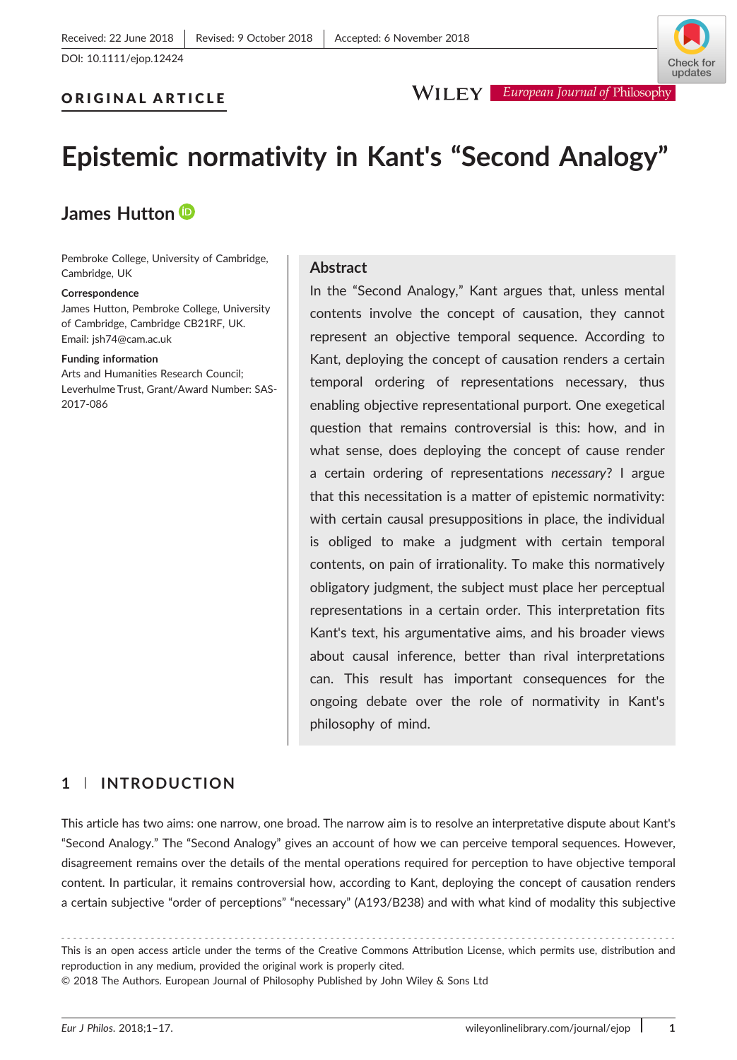ORIGINAL ARTICLE



**WILEY** 

# **Epistemic normativity in Kant's "Second Analogy"**

# **James Hutton**

Pembroke College, University of Cambridge, Cambridge, UK

#### **Correspondence**

James Hutton, Pembroke College, University of Cambridge, Cambridge CB21RF, UK. Email: [jsh74@cam.ac.uk](mailto:jsh74@cam.ac.uk)

**Funding information** Arts and Humanities Research Council; Leverhulme Trust, Grant/Award Number: SAS‐ 2017‐086

# **Abstract**

In the "Second Analogy," Kant argues that, unless mental contents involve the concept of causation, they cannot represent an objective temporal sequence. According to Kant, deploying the concept of causation renders a certain temporal ordering of representations necessary, thus enabling objective representational purport. One exegetical question that remains controversial is this: how, and in what sense, does deploying the concept of cause render a certain ordering of representations *necessary*? I argue that this necessitation is a matter of epistemic normativity: with certain causal presuppositions in place, the individual is obliged to make a judgment with certain temporal contents, on pain of irrationality. To make this normatively obligatory judgment, the subject must place her perceptual representations in a certain order. This interpretation fits Kant's text, his argumentative aims, and his broader views about causal inference, better than rival interpretations can. This result has important consequences for the ongoing debate over the role of normativity in Kant's philosophy of mind.

# **1** | **INTRODUCTION**

This article has two aims: one narrow, one broad. The narrow aim is to resolve an interpretative dispute about Kant's "Second Analogy." The "Second Analogy" gives an account of how we can perceive temporal sequences. However, disagreement remains over the details of the mental operations required for perception to have objective temporal content. In particular, it remains controversial how, according to Kant, deploying the concept of causation renders a certain subjective "order of perceptions" "necessary" (A193/B238) and with what kind of modality this subjective

------------------------------------------------------------------------------------------------------- This is an open access article under the terms of the [Creative Commons Attribution](http://creativecommons.org/licenses/by/4.0/) License, which permits use, distribution and reproduction in any medium, provided the original work is properly cited.

© 2018 The Authors. European Journal of Philosophy Published by John Wiley & Sons Ltd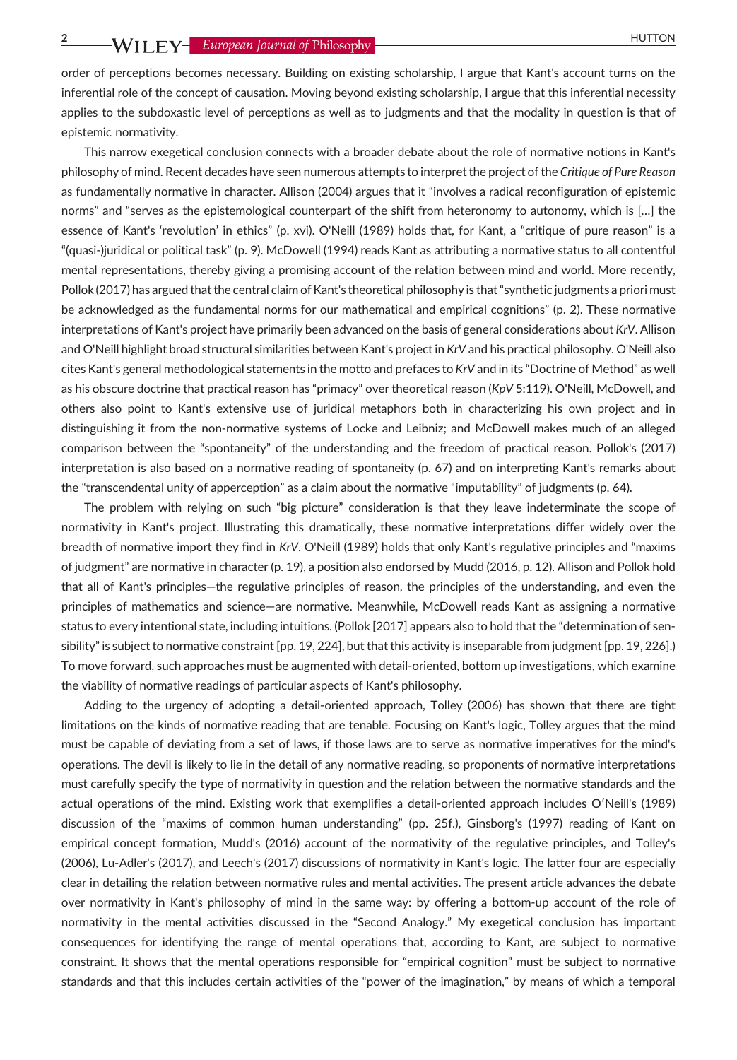order of perceptions becomes necessary. Building on existing scholarship, I argue that Kant's account turns on the inferential role of the concept of causation. Moving beyond existing scholarship, I argue that this inferential necessity applies to the subdoxastic level of perceptions as well as to judgments and that the modality in question is that of epistemic normativity.

This narrow exegetical conclusion connects with a broader debate about the role of normative notions in Kant's philosophy of mind. Recent decades have seen numerous attempts to interpret the project of the *Critique of Pure Reason* as fundamentally normative in character. Allison (2004) argues that it "involves a radical reconfiguration of epistemic norms" and "serves as the epistemological counterpart of the shift from heteronomy to autonomy, which is […] the essence of Kant's 'revolution' in ethics" (p. xvi). O'Neill (1989) holds that, for Kant, a "critique of pure reason" is a "(quasi‐)juridical or political task" (p. 9). McDowell (1994) reads Kant as attributing a normative status to all contentful mental representations, thereby giving a promising account of the relation between mind and world. More recently, Pollok (2017) has argued that the central claim of Kant's theoretical philosophy is that"synthetic judgments a priori must be acknowledged as the fundamental norms for our mathematical and empirical cognitions" (p. 2). These normative interpretations of Kant's project have primarily been advanced on the basis of general considerations about *KrV*. Allison and O'Neill highlight broad structural similarities between Kant's project in *KrV* and his practical philosophy. O'Neill also cites Kant's general methodological statements in the motto and prefaces to *KrV* and in its "Doctrine of Method" as well as his obscure doctrine that practical reason has "primacy" over theoretical reason (*KpV* 5:119). O'Neill, McDowell, and others also point to Kant's extensive use of juridical metaphors both in characterizing his own project and in distinguishing it from the non‐normative systems of Locke and Leibniz; and McDowell makes much of an alleged comparison between the "spontaneity" of the understanding and the freedom of practical reason. Pollok's (2017) interpretation is also based on a normative reading of spontaneity (p. 67) and on interpreting Kant's remarks about the "transcendental unity of apperception" as a claim about the normative "imputability" of judgments (p. 64).

The problem with relying on such "big picture" consideration is that they leave indeterminate the scope of normativity in Kant's project. Illustrating this dramatically, these normative interpretations differ widely over the breadth of normative import they find in *KrV*. O'Neill (1989) holds that only Kant's regulative principles and "maxims of judgment" are normative in character (p. 19), a position also endorsed by Mudd (2016, p. 12). Allison and Pollok hold that all of Kant's principles—the regulative principles of reason, the principles of the understanding, and even the principles of mathematics and science—are normative. Meanwhile, McDowell reads Kant as assigning a normative status to every intentional state, including intuitions. (Pollok [2017] appears also to hold that the "determination of sensibility" is subject to normative constraint [pp. 19, 224], but that this activity is inseparable from judgment [pp. 19, 226].) To move forward, such approaches must be augmented with detail‐oriented, bottom up investigations, which examine the viability of normative readings of particular aspects of Kant's philosophy.

Adding to the urgency of adopting a detail‐oriented approach, Tolley (2006) has shown that there are tight limitations on the kinds of normative reading that are tenable. Focusing on Kant's logic, Tolley argues that the mind must be capable of deviating from a set of laws, if those laws are to serve as normative imperatives for the mind's operations. The devil is likely to lie in the detail of any normative reading, so proponents of normative interpretations must carefully specify the type of normativity in question and the relation between the normative standards and the actual operations of the mind. Existing work that exemplifies a detail‐oriented approach includes O′Neill's (1989) discussion of the "maxims of common human understanding" (pp. 25f.), Ginsborg's (1997) reading of Kant on empirical concept formation, Mudd's (2016) account of the normativity of the regulative principles, and Tolley's (2006), Lu‐Adler's (2017), and Leech's (2017) discussions of normativity in Kant's logic. The latter four are especially clear in detailing the relation between normative rules and mental activities. The present article advances the debate over normativity in Kant's philosophy of mind in the same way: by offering a bottom‐up account of the role of normativity in the mental activities discussed in the "Second Analogy." My exegetical conclusion has important consequences for identifying the range of mental operations that, according to Kant, are subject to normative constraint. It shows that the mental operations responsible for "empirical cognition" must be subject to normative standards and that this includes certain activities of the "power of the imagination," by means of which a temporal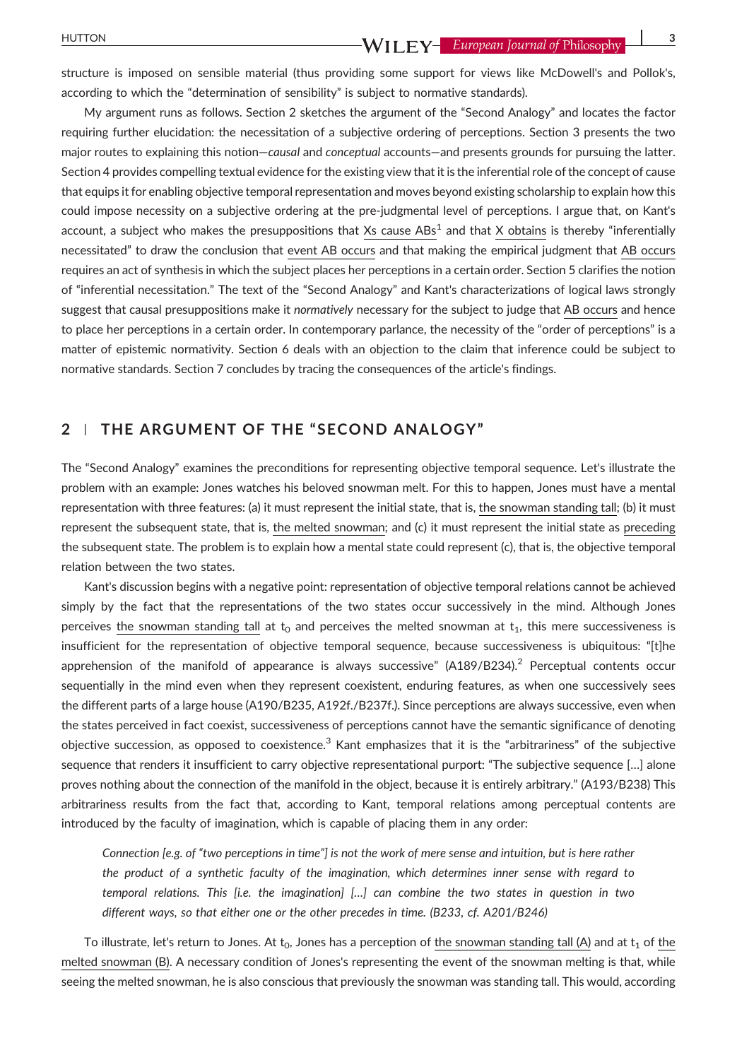structure is imposed on sensible material (thus providing some support for views like McDowell's and Pollok's, according to which the "determination of sensibility" is subject to normative standards).

My argument runs as follows. Section 2 sketches the argument of the "Second Analogy" and locates the factor requiring further elucidation: the necessitation of a subjective ordering of perceptions. Section 3 presents the two major routes to explaining this notion—*causal* and *conceptual* accounts—and presents grounds for pursuing the latter. Section 4 provides compelling textual evidence for the existing view that it is the inferential role of the concept of cause that equips it for enabling objective temporal representation and moves beyond existing scholarship to explain how this could impose necessity on a subjective ordering at the pre-judgmental level of perceptions. I argue that, on Kant's account, a subject who makes the presuppositions that Xs cause  $\text{ABs}^1$  and that X obtains is thereby "inferentially necessitated" to draw the conclusion that event AB occurs and that making the empirical judgment that AB occurs requires an act of synthesis in which the subject places her perceptions in a certain order. Section 5 clarifies the notion of "inferential necessitation." The text of the "Second Analogy" and Kant's characterizations of logical laws strongly suggest that causal presuppositions make it *normatively* necessary for the subject to judge that AB occurs and hence to place her perceptions in a certain order. In contemporary parlance, the necessity of the "order of perceptions" is a matter of epistemic normativity. Section 6 deals with an objection to the claim that inference could be subject to normative standards. Section 7 concludes by tracing the consequences of the article's findings.

# **2** | **THE ARGUMENT OF THE "SECOND ANALOGY"**

The "Second Analogy" examines the preconditions for representing objective temporal sequence. Let's illustrate the problem with an example: Jones watches his beloved snowman melt. For this to happen, Jones must have a mental representation with three features: (a) it must represent the initial state, that is, the snowman standing tall; (b) it must represent the subsequent state, that is, the melted snowman; and (c) it must represent the initial state as preceding the subsequent state. The problem is to explain how a mental state could represent (c), that is, the objective temporal relation between the two states.

Kant's discussion begins with a negative point: representation of objective temporal relations cannot be achieved simply by the fact that the representations of the two states occur successively in the mind. Although Jones perceives the snowman standing tall at  $t_0$  and perceives the melted snowman at  $t_1$ , this mere successiveness is insufficient for the representation of objective temporal sequence, because successiveness is ubiquitous: "[t]he apprehension of the manifold of appearance is always successive"  $(A189/B234)<sup>2</sup>$  Perceptual contents occur sequentially in the mind even when they represent coexistent, enduring features, as when one successively sees the different parts of a large house (A190/B235, A192f./B237f.). Since perceptions are always successive, even when the states perceived in fact coexist, successiveness of perceptions cannot have the semantic significance of denoting objective succession, as opposed to coexistence.<sup>3</sup> Kant emphasizes that it is the "arbitrariness" of the subjective sequence that renders it insufficient to carry objective representational purport: "The subjective sequence […] alone proves nothing about the connection of the manifold in the object, because it is entirely arbitrary." (A193/B238) This arbitrariness results from the fact that, according to Kant, temporal relations among perceptual contents are introduced by the faculty of imagination, which is capable of placing them in any order:

*Connection [e.g. of "two perceptions in time"] is not the work of mere sense and intuition, but is here rather the product of a synthetic faculty of the imagination, which determines inner sense with regard to temporal relations. This [i.e. the imagination] […] can combine the two states in question in two different ways, so that either one or the other precedes in time. (B233, cf. A201/B246)*

To illustrate, let's return to Jones. At t<sub>0</sub>, Jones has a perception of the snowman standing tall (A) and at t<sub>1</sub> of the melted snowman (B). A necessary condition of Jones's representing the event of the snowman melting is that, while seeing the melted snowman, he is also conscious that previously the snowman was standing tall. This would, according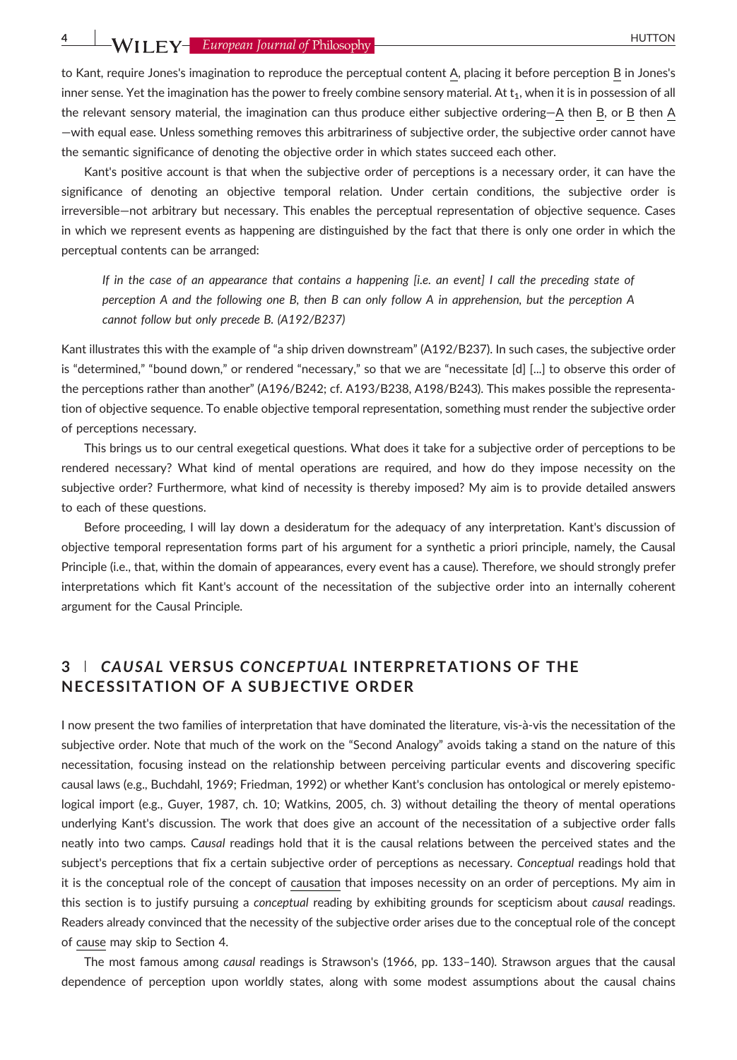to Kant, require Jones's imagination to reproduce the perceptual content A, placing it before perception B in Jones's inner sense. Yet the imagination has the power to freely combine sensory material. At  $t_1$ , when it is in possession of all the relevant sensory material, the imagination can thus produce either subjective ordering—A then B, or B then A —with equal ease. Unless something removes this arbitrariness of subjective order, the subjective order cannot have the semantic significance of denoting the objective order in which states succeed each other.

Kant's positive account is that when the subjective order of perceptions is a necessary order, it can have the significance of denoting an objective temporal relation. Under certain conditions, the subjective order is irreversible—not arbitrary but necessary. This enables the perceptual representation of objective sequence. Cases in which we represent events as happening are distinguished by the fact that there is only one order in which the perceptual contents can be arranged:

*If in the case of an appearance that contains a happening [i.e. an event] I call the preceding state of perception A and the following one B, then B can only follow A in apprehension, but the perception A cannot follow but only precede B. (A192/B237)*

Kant illustrates this with the example of "a ship driven downstream" (A192/B237). In such cases, the subjective order is "determined," "bound down," or rendered "necessary," so that we are "necessitate [d] [...] to observe this order of the perceptions rather than another" (A196/B242; cf. A193/B238, A198/B243). This makes possible the representation of objective sequence. To enable objective temporal representation, something must render the subjective order of perceptions necessary.

This brings us to our central exegetical questions. What does it take for a subjective order of perceptions to be rendered necessary? What kind of mental operations are required, and how do they impose necessity on the subjective order? Furthermore, what kind of necessity is thereby imposed? My aim is to provide detailed answers to each of these questions.

Before proceeding, I will lay down a desideratum for the adequacy of any interpretation. Kant's discussion of objective temporal representation forms part of his argument for a synthetic a priori principle, namely, the Causal Principle (i.e., that, within the domain of appearances, every event has a cause). Therefore, we should strongly prefer interpretations which fit Kant's account of the necessitation of the subjective order into an internally coherent argument for the Causal Principle.

# **3** | *CAUSAL* **VERSUS** *CONCEPTUAL* **INTERPRETATIONS OF THE NECESSITATION OF A SUBJECTIVE ORDER**

I now present the two families of interpretation that have dominated the literature, vis-à-vis the necessitation of the subjective order. Note that much of the work on the "Second Analogy" avoids taking a stand on the nature of this necessitation, focusing instead on the relationship between perceiving particular events and discovering specific causal laws (e.g., Buchdahl, 1969; Friedman, 1992) or whether Kant's conclusion has ontological or merely epistemological import (e.g., Guyer, 1987, ch. 10; Watkins, 2005, ch. 3) without detailing the theory of mental operations underlying Kant's discussion. The work that does give an account of the necessitation of a subjective order falls neatly into two camps. C*ausal* readings hold that it is the causal relations between the perceived states and the subject's perceptions that fix a certain subjective order of perceptions as necessary. *Conceptual* readings hold that it is the conceptual role of the concept of causation that imposes necessity on an order of perceptions. My aim in this section is to justify pursuing a *conceptual* reading by exhibiting grounds for scepticism about *causal* readings. Readers already convinced that the necessity of the subjective order arises due to the conceptual role of the concept of cause may skip to Section 4.

The most famous among *causal* readings is Strawson's (1966, pp. 133–140). Strawson argues that the causal dependence of perception upon worldly states, along with some modest assumptions about the causal chains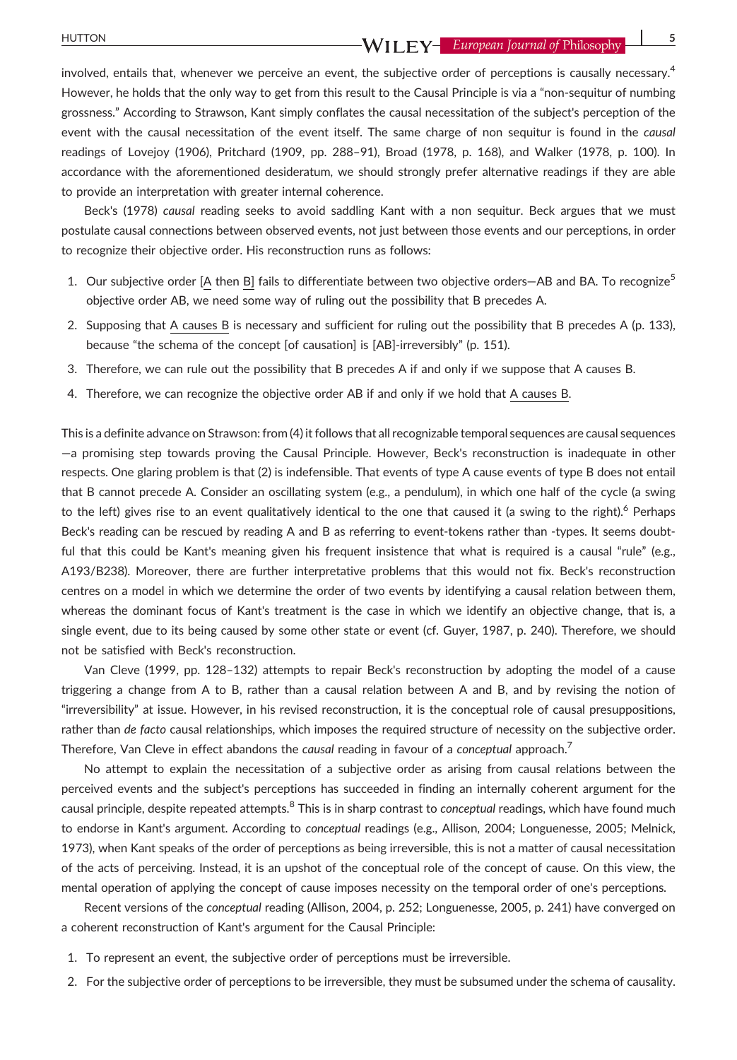involved, entails that, whenever we perceive an event, the subjective order of perceptions is causally necessary.<sup>4</sup> However, he holds that the only way to get from this result to the Causal Principle is via a "non‐sequitur of numbing grossness." According to Strawson, Kant simply conflates the causal necessitation of the subject's perception of the event with the causal necessitation of the event itself. The same charge of non sequitur is found in the *causal* readings of Lovejoy (1906), Pritchard (1909, pp. 288–91), Broad (1978, p. 168), and Walker (1978, p. 100). In accordance with the aforementioned desideratum, we should strongly prefer alternative readings if they are able to provide an interpretation with greater internal coherence.

Beck's (1978) *causal* reading seeks to avoid saddling Kant with a non sequitur. Beck argues that we must postulate causal connections between observed events, not just between those events and our perceptions, in order to recognize their objective order. His reconstruction runs as follows:

- 1. Our subjective order [A then B] fails to differentiate between two objective orders-AB and BA. To recognize<sup>5</sup> objective order AB, we need some way of ruling out the possibility that B precedes A.
- 2. Supposing that A causes B is necessary and sufficient for ruling out the possibility that B precedes A (p. 133), because "the schema of the concept [of causation] is [AB]-irreversibly" (p. 151).
- 3. Therefore, we can rule out the possibility that B precedes A if and only if we suppose that A causes B.
- 4. Therefore, we can recognize the objective order AB if and only if we hold that A causes B.

This is a definite advance on Strawson: from (4) it follows that all recognizable temporal sequences are causal sequences —a promising step towards proving the Causal Principle. However, Beck's reconstruction is inadequate in other respects. One glaring problem is that (2) is indefensible. That events of type A cause events of type B does not entail that B cannot precede A. Consider an oscillating system (e.g., a pendulum), in which one half of the cycle (a swing to the left) gives rise to an event qualitatively identical to the one that caused it (a swing to the right).<sup>6</sup> Perhaps Beck's reading can be rescued by reading A and B as referring to event-tokens rather than -types. It seems doubtful that this could be Kant's meaning given his frequent insistence that what is required is a causal "rule" (e.g., A193/B238). Moreover, there are further interpretative problems that this would not fix. Beck's reconstruction centres on a model in which we determine the order of two events by identifying a causal relation between them, whereas the dominant focus of Kant's treatment is the case in which we identify an objective change, that is, a single event, due to its being caused by some other state or event (cf. Guyer, 1987, p. 240). Therefore, we should not be satisfied with Beck's reconstruction.

Van Cleve (1999, pp. 128–132) attempts to repair Beck's reconstruction by adopting the model of a cause triggering a change from A to B, rather than a causal relation between A and B, and by revising the notion of "irreversibility" at issue. However, in his revised reconstruction, it is the conceptual role of causal presuppositions, rather than *de facto* causal relationships, which imposes the required structure of necessity on the subjective order. Therefore, Van Cleve in effect abandons the *causal* reading in favour of a *conceptual* approach.7

No attempt to explain the necessitation of a subjective order as arising from causal relations between the perceived events and the subject's perceptions has succeeded in finding an internally coherent argument for the causal principle, despite repeated attempts.<sup>8</sup> This is in sharp contrast to *conceptual* readings, which have found much to endorse in Kant's argument. According to *conceptual* readings (e.g., Allison, 2004; Longuenesse, 2005; Melnick, 1973), when Kant speaks of the order of perceptions as being irreversible, this is not a matter of causal necessitation of the acts of perceiving. Instead, it is an upshot of the conceptual role of the concept of cause. On this view, the mental operation of applying the concept of cause imposes necessity on the temporal order of one's perceptions.

Recent versions of the *conceptual* reading (Allison, 2004, p. 252; Longuenesse, 2005, p. 241) have converged on a coherent reconstruction of Kant's argument for the Causal Principle:

- 1. To represent an event, the subjective order of perceptions must be irreversible.
- 2. For the subjective order of perceptions to be irreversible, they must be subsumed under the schema of causality.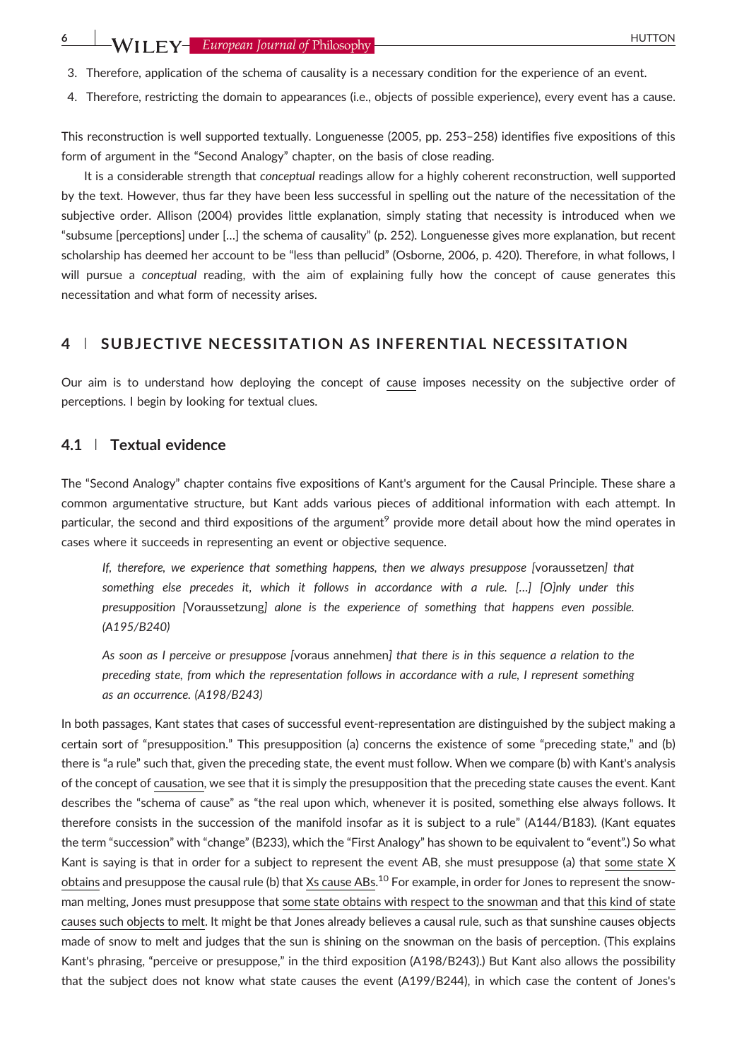- 3. Therefore, application of the schema of causality is a necessary condition for the experience of an event.
- 4. Therefore, restricting the domain to appearances (i.e., objects of possible experience), every event has a cause.

This reconstruction is well supported textually. Longuenesse (2005, pp. 253–258) identifies five expositions of this form of argument in the "Second Analogy" chapter, on the basis of close reading.

It is a considerable strength that *conceptual* readings allow for a highly coherent reconstruction, well supported by the text. However, thus far they have been less successful in spelling out the nature of the necessitation of the subjective order. Allison (2004) provides little explanation, simply stating that necessity is introduced when we "subsume [perceptions] under […] the schema of causality" (p. 252). Longuenesse gives more explanation, but recent scholarship has deemed her account to be "less than pellucid" (Osborne, 2006, p. 420). Therefore, in what follows, I will pursue a *conceptual* reading, with the aim of explaining fully how the concept of cause generates this necessitation and what form of necessity arises.

## **4** | **SUBJECTIVE NECESSITATION AS INFERENTIAL NECESSITATION**

Our aim is to understand how deploying the concept of cause imposes necessity on the subjective order of perceptions. I begin by looking for textual clues.

### **4.1** | **Textual evidence**

The "Second Analogy" chapter contains five expositions of Kant's argument for the Causal Principle. These share a common argumentative structure, but Kant adds various pieces of additional information with each attempt. In particular, the second and third expositions of the argument<sup>9</sup> provide more detail about how the mind operates in cases where it succeeds in representing an event or objective sequence.

*If, therefore, we experience that something happens, then we always presuppose [*voraussetzen*] that something else precedes it, which it follows in accordance with a rule. […] [O]nly under this presupposition [*Voraussetzung*] alone is the experience of something that happens even possible. (A195/B240)*

*As soon as I perceive or presuppose [*voraus annehmen*] that there is in this sequence a relation to the preceding state, from which the representation follows in accordance with a rule, I represent something as an occurrence. (A198/B243)*

In both passages, Kant states that cases of successful event‐representation are distinguished by the subject making a certain sort of "presupposition." This presupposition (a) concerns the existence of some "preceding state," and (b) there is "a rule" such that, given the preceding state, the event must follow. When we compare (b) with Kant's analysis of the concept of causation, we see that it is simply the presupposition that the preceding state causes the event. Kant describes the "schema of cause" as "the real upon which, whenever it is posited, something else always follows. It therefore consists in the succession of the manifold insofar as it is subject to a rule" (A144/B183). (Kant equates the term "succession" with "change" (B233), which the "First Analogy" has shown to be equivalent to "event".) So what Kant is saying is that in order for a subject to represent the event AB, she must presuppose (a) that some state X obtains and presuppose the causal rule (b) that Xs cause ABs.<sup>10</sup> For example, in order for Jones to represent the snowman melting, Jones must presuppose that some state obtains with respect to the snowman and that this kind of state causes such objects to melt. It might be that Jones already believes a causal rule, such as that sunshine causes objects made of snow to melt and judges that the sun is shining on the snowman on the basis of perception. (This explains Kant's phrasing, "perceive or presuppose," in the third exposition (A198/B243).) But Kant also allows the possibility that the subject does not know what state causes the event (A199/B244), in which case the content of Jones's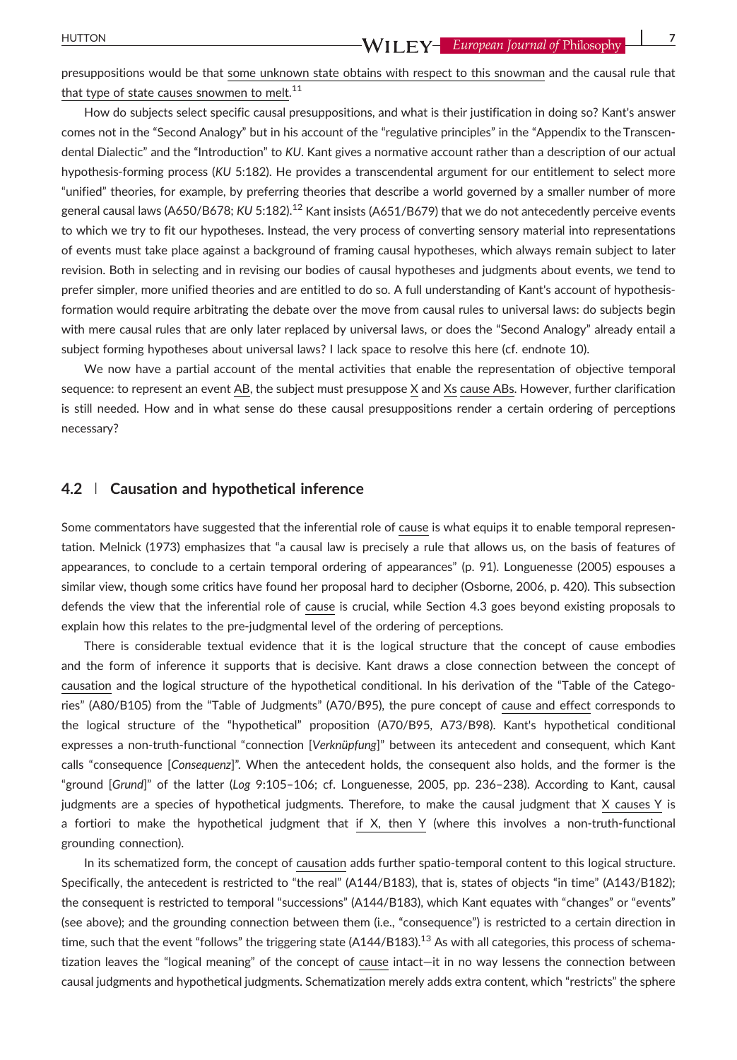presuppositions would be that some unknown state obtains with respect to this snowman and the causal rule that that type of state causes snowmen to melt. $^{11}$ 

How do subjects select specific causal presuppositions, and what is their justification in doing so? Kant's answer comes not in the "Second Analogy" but in his account of the "regulative principles" in the "Appendix to the Transcendental Dialectic" and the "Introduction" to *KU*. Kant gives a normative account rather than a description of our actual hypothesis‐forming process (*KU* 5:182). He provides a transcendental argument for our entitlement to select more "unified" theories, for example, by preferring theories that describe a world governed by a smaller number of more general causal laws (A650/B678; *KU* 5:182).12 Kant insists (A651/B679) that we do not antecedently perceive events to which we try to fit our hypotheses. Instead, the very process of converting sensory material into representations of events must take place against a background of framing causal hypotheses, which always remain subject to later revision. Both in selecting and in revising our bodies of causal hypotheses and judgments about events, we tend to prefer simpler, more unified theories and are entitled to do so. A full understanding of Kant's account of hypothesisformation would require arbitrating the debate over the move from causal rules to universal laws: do subjects begin with mere causal rules that are only later replaced by universal laws, or does the "Second Analogy" already entail a subject forming hypotheses about universal laws? I lack space to resolve this here (cf. endnote 10).

We now have a partial account of the mental activities that enable the representation of objective temporal sequence: to represent an event AB, the subject must presuppose X and Xs cause ABs. However, further clarification is still needed. How and in what sense do these causal presuppositions render a certain ordering of perceptions necessary?

# **4.2** | **Causation and hypothetical inference**

Some commentators have suggested that the inferential role of cause is what equips it to enable temporal representation. Melnick (1973) emphasizes that "a causal law is precisely a rule that allows us, on the basis of features of appearances, to conclude to a certain temporal ordering of appearances" (p. 91). Longuenesse (2005) espouses a similar view, though some critics have found her proposal hard to decipher (Osborne, 2006, p. 420). This subsection defends the view that the inferential role of cause is crucial, while Section 4.3 goes beyond existing proposals to explain how this relates to the pre‐judgmental level of the ordering of perceptions.

There is considerable textual evidence that it is the logical structure that the concept of cause embodies and the form of inference it supports that is decisive. Kant draws a close connection between the concept of causation and the logical structure of the hypothetical conditional. In his derivation of the "Table of the Categories" (A80/B105) from the "Table of Judgments" (A70/B95), the pure concept of cause and effect corresponds to the logical structure of the "hypothetical" proposition (A70/B95, A73/B98). Kant's hypothetical conditional expresses a non‐truth‐functional "connection [*Verknüpfung*]" between its antecedent and consequent, which Kant calls "consequence [*Consequenz*]". When the antecedent holds, the consequent also holds, and the former is the "ground [*Grund*]" of the latter (*Log* 9:105–106; cf. Longuenesse, 2005, pp. 236–238). According to Kant, causal judgments are a species of hypothetical judgments. Therefore, to make the causal judgment that X causes Y is a fortiori to make the hypothetical judgment that if X, then Y (where this involves a non‐truth‐functional grounding connection).

In its schematized form, the concept of causation adds further spatio-temporal content to this logical structure. Specifically, the antecedent is restricted to "the real" (A144/B183), that is, states of objects "in time" (A143/B182); the consequent is restricted to temporal "successions" (A144/B183), which Kant equates with "changes" or "events" (see above); and the grounding connection between them (i.e., "consequence") is restricted to a certain direction in time, such that the event "follows" the triggering state  $(A144/B183)$ .<sup>13</sup> As with all categories, this process of schematization leaves the "logical meaning" of the concept of cause intact—it in no way lessens the connection between causal judgments and hypothetical judgments. Schematization merely adds extra content, which "restricts" the sphere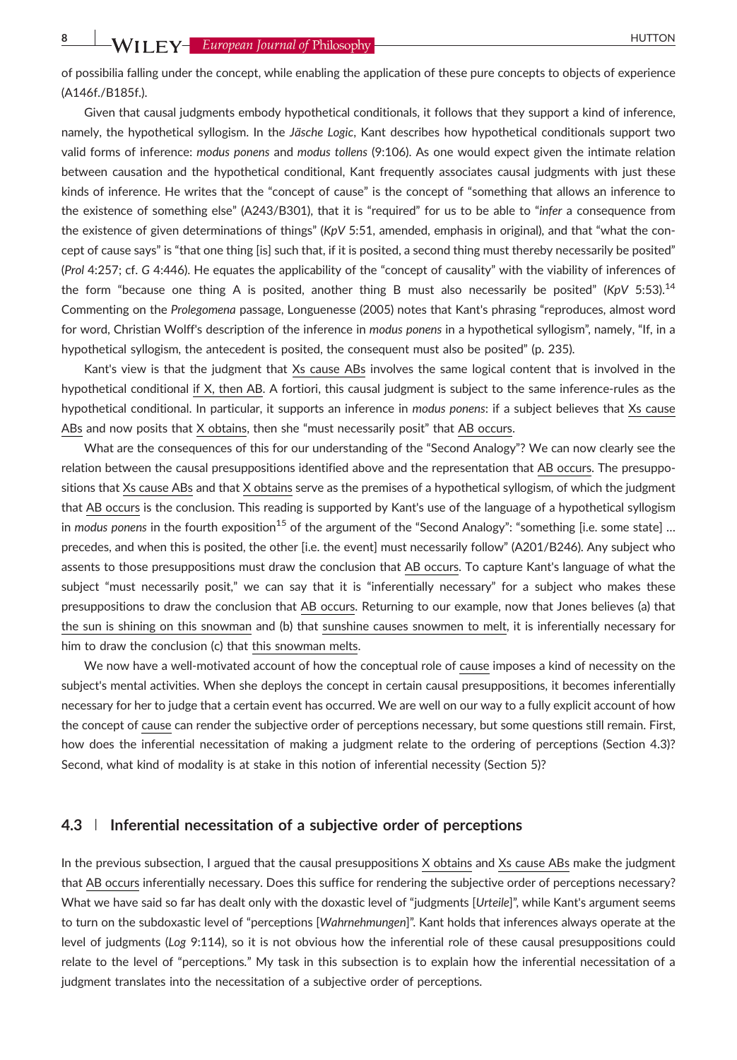of possibilia falling under the concept, while enabling the application of these pure concepts to objects of experience (A146f./B185f.).

Given that causal judgments embody hypothetical conditionals, it follows that they support a kind of inference, namely, the hypothetical syllogism. In the *Jäsche Logic*, Kant describes how hypothetical conditionals support two valid forms of inference: *modus ponens* and *modus tollens* (9:106). As one would expect given the intimate relation between causation and the hypothetical conditional, Kant frequently associates causal judgments with just these kinds of inference. He writes that the "concept of cause" is the concept of "something that allows an inference to the existence of something else" (A243/B301), that it is "required" for us to be able to "*infer* a consequence from the existence of given determinations of things" (*KpV* 5:51, amended, emphasis in original), and that "what the concept of cause says" is "that one thing [is] such that, if it is posited, a second thing must thereby necessarily be posited" (*Prol* 4:257; cf. *G* 4:446). He equates the applicability of the "concept of causality" with the viability of inferences of the form "because one thing A is posited, another thing B must also necessarily be posited" (*KpV* 5:53).14 Commenting on the *Prolegomena* passage, Longuenesse (2005) notes that Kant's phrasing "reproduces, almost word for word, Christian Wolff's description of the inference in *modus ponens* in a hypothetical syllogism", namely, "If, in a hypothetical syllogism, the antecedent is posited, the consequent must also be posited" (p. 235).

Kant's view is that the judgment that Xs cause ABs involves the same logical content that is involved in the hypothetical conditional if X, then AB. A fortiori, this causal judgment is subject to the same inference-rules as the hypothetical conditional. In particular, it supports an inference in *modus ponens*: if a subject believes that Xs cause ABs and now posits that X obtains, then she "must necessarily posit" that AB occurs.

What are the consequences of this for our understanding of the "Second Analogy"? We can now clearly see the relation between the causal presuppositions identified above and the representation that AB occurs. The presuppositions that Xs cause ABs and that X obtains serve as the premises of a hypothetical syllogism, of which the judgment that AB occurs is the conclusion. This reading is supported by Kant's use of the language of a hypothetical syllogism in *modus ponens* in the fourth exposition<sup>15</sup> of the argument of the "Second Analogy": "something [i.e. some state] ... precedes, and when this is posited, the other [i.e. the event] must necessarily follow" (A201/B246). Any subject who assents to those presuppositions must draw the conclusion that AB occurs. To capture Kant's language of what the subject "must necessarily posit," we can say that it is "inferentially necessary" for a subject who makes these presuppositions to draw the conclusion that AB occurs. Returning to our example, now that Jones believes (a) that the sun is shining on this snowman and (b) that sunshine causes snowmen to melt, it is inferentially necessary for him to draw the conclusion (c) that this snowman melts.

We now have a well-motivated account of how the conceptual role of cause imposes a kind of necessity on the subject's mental activities. When she deploys the concept in certain causal presuppositions, it becomes inferentially necessary for her to judge that a certain event has occurred. We are well on our way to a fully explicit account of how the concept of cause can render the subjective order of perceptions necessary, but some questions still remain. First, how does the inferential necessitation of making a judgment relate to the ordering of perceptions (Section 4.3)? Second, what kind of modality is at stake in this notion of inferential necessity (Section 5)?

### **4.3** | **Inferential necessitation of a subjective order of perceptions**

In the previous subsection, I argued that the causal presuppositions X obtains and Xs cause ABs make the judgment that AB occurs inferentially necessary. Does this suffice for rendering the subjective order of perceptions necessary? What we have said so far has dealt only with the doxastic level of "judgments [*Urteile*]", while Kant's argument seems to turn on the subdoxastic level of "perceptions [*Wahrnehmungen*]". Kant holds that inferences always operate at the level of judgments (*Log* 9:114), so it is not obvious how the inferential role of these causal presuppositions could relate to the level of "perceptions." My task in this subsection is to explain how the inferential necessitation of a judgment translates into the necessitation of a subjective order of perceptions.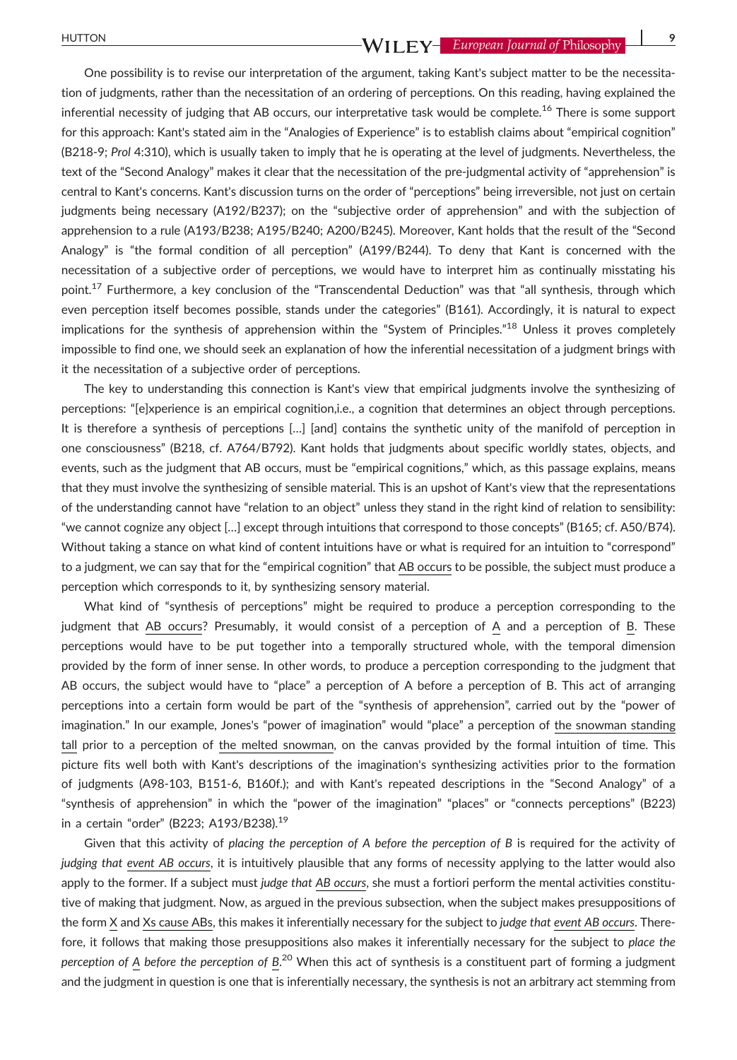# HUTTON **9**

One possibility is to revise our interpretation of the argument, taking Kant's subject matter to be the necessitation of judgments, rather than the necessitation of an ordering of perceptions. On this reading, having explained the inferential necessity of judging that AB occurs, our interpretative task would be complete.<sup>16</sup> There is some support for this approach: Kant's stated aim in the "Analogies of Experience" is to establish claims about "empirical cognition" (B218‐9; *Prol* 4:310), which is usually taken to imply that he is operating at the level of judgments. Nevertheless, the text of the "Second Analogy" makes it clear that the necessitation of the pre-judgmental activity of "apprehension" is central to Kant's concerns. Kant's discussion turns on the order of "perceptions" being irreversible, not just on certain judgments being necessary (A192/B237); on the "subjective order of apprehension" and with the subjection of apprehension to a rule (A193/B238; A195/B240; A200/B245). Moreover, Kant holds that the result of the "Second Analogy" is "the formal condition of all perception" (A199/B244). To deny that Kant is concerned with the necessitation of a subjective order of perceptions, we would have to interpret him as continually misstating his point.<sup>17</sup> Furthermore, a key conclusion of the "Transcendental Deduction" was that "all synthesis, through which even perception itself becomes possible, stands under the categories" (B161). Accordingly, it is natural to expect implications for the synthesis of apprehension within the "System of Principles."<sup>18</sup> Unless it proves completely impossible to find one, we should seek an explanation of how the inferential necessitation of a judgment brings with it the necessitation of a subjective order of perceptions.

The key to understanding this connection is Kant's view that empirical judgments involve the synthesizing of perceptions: "[e]xperience is an empirical cognition,i.e., a cognition that determines an object through perceptions. It is therefore a synthesis of perceptions […] [and] contains the synthetic unity of the manifold of perception in one consciousness" (B218, cf. A764/B792). Kant holds that judgments about specific worldly states, objects, and events, such as the judgment that AB occurs, must be "empirical cognitions," which, as this passage explains, means that they must involve the synthesizing of sensible material. This is an upshot of Kant's view that the representations of the understanding cannot have "relation to an object" unless they stand in the right kind of relation to sensibility: "we cannot cognize any object […] except through intuitions that correspond to those concepts" (B165; cf. A50/B74). Without taking a stance on what kind of content intuitions have or what is required for an intuition to "correspond" to a judgment, we can say that for the "empirical cognition" that AB occurs to be possible, the subject must produce a perception which corresponds to it, by synthesizing sensory material.

What kind of "synthesis of perceptions" might be required to produce a perception corresponding to the judgment that AB occurs? Presumably, it would consist of a perception of A and a perception of B. These perceptions would have to be put together into a temporally structured whole, with the temporal dimension provided by the form of inner sense. In other words, to produce a perception corresponding to the judgment that AB occurs, the subject would have to "place" a perception of A before a perception of B. This act of arranging perceptions into a certain form would be part of the "synthesis of apprehension", carried out by the "power of imagination." In our example, Jones's "power of imagination" would "place" a perception of the snowman standing tall prior to a perception of the melted snowman, on the canvas provided by the formal intuition of time. This picture fits well both with Kant's descriptions of the imagination's synthesizing activities prior to the formation of judgments (A98‐103, B151‐6, B160f.); and with Kant's repeated descriptions in the "Second Analogy" of a "synthesis of apprehension" in which the "power of the imagination" "places" or "connects perceptions" (B223) in a certain "order" (B223; A193/B238).<sup>19</sup>

Given that this activity of *placing the perception of A before the perception of B* is required for the activity of *judging that event AB occurs*, it is intuitively plausible that any forms of necessity applying to the latter would also apply to the former. If a subject must *judge that AB occurs*, she must a fortiori perform the mental activities constitutive of making that judgment. Now, as argued in the previous subsection, when the subject makes presuppositions of the form X and Xs cause ABs, this makes it inferentially necessary for the subject to *judge that event AB occurs*. Therefore, it follows that making those presuppositions also makes it inferentially necessary for the subject to *place the perception of A before the perception of B*. <sup>20</sup> When this act of synthesis is a constituent part of forming a judgment and the judgment in question is one that is inferentially necessary, the synthesis is not an arbitrary act stemming from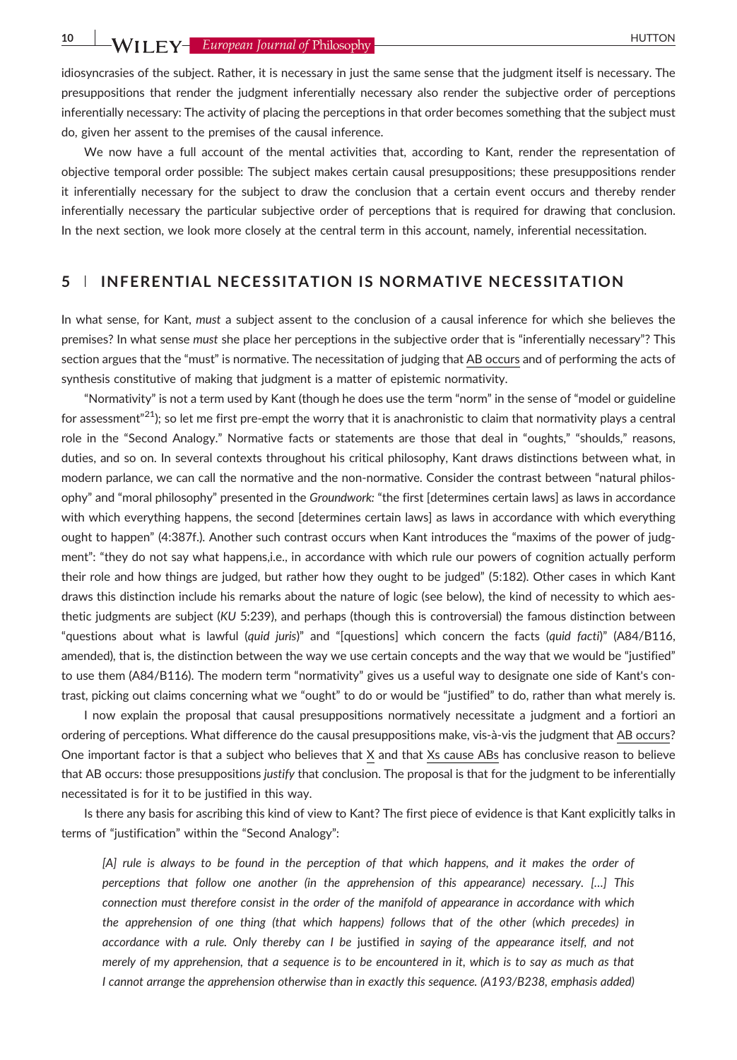idiosyncrasies of the subject. Rather, it is necessary in just the same sense that the judgment itself is necessary. The presuppositions that render the judgment inferentially necessary also render the subjective order of perceptions inferentially necessary: The activity of placing the perceptions in that order becomes something that the subject must do, given her assent to the premises of the causal inference.

We now have a full account of the mental activities that, according to Kant, render the representation of objective temporal order possible: The subject makes certain causal presuppositions; these presuppositions render it inferentially necessary for the subject to draw the conclusion that a certain event occurs and thereby render inferentially necessary the particular subjective order of perceptions that is required for drawing that conclusion. In the next section, we look more closely at the central term in this account, namely, inferential necessitation.

# **5** | **INFERENTIAL NECESSITATION IS NORMATIVE NECESSITATION**

In what sense, for Kant, *must* a subject assent to the conclusion of a causal inference for which she believes the premises? In what sense *must* she place her perceptions in the subjective order that is "inferentially necessary"? This section argues that the "must" is normative. The necessitation of judging that AB occurs and of performing the acts of synthesis constitutive of making that judgment is a matter of epistemic normativity.

"Normativity" is not a term used by Kant (though he does use the term "norm" in the sense of "model or guideline for assessment"<sup>21</sup>); so let me first pre-empt the worry that it is anachronistic to claim that normativity plays a central role in the "Second Analogy." Normative facts or statements are those that deal in "oughts," "shoulds," reasons, duties, and so on. In several contexts throughout his critical philosophy, Kant draws distinctions between what, in modern parlance, we can call the normative and the non-normative. Consider the contrast between "natural philosophy" and "moral philosophy" presented in the *Groundwork:* "the first [determines certain laws] as laws in accordance with which everything happens, the second [determines certain laws] as laws in accordance with which everything ought to happen" (4:387f.). Another such contrast occurs when Kant introduces the "maxims of the power of judgment": "they do not say what happens,i.e., in accordance with which rule our powers of cognition actually perform their role and how things are judged, but rather how they ought to be judged" (5:182). Other cases in which Kant draws this distinction include his remarks about the nature of logic (see below), the kind of necessity to which aesthetic judgments are subject (*KU* 5:239), and perhaps (though this is controversial) the famous distinction between "questions about what is lawful (*quid juris*)" and "[questions] which concern the facts (*quid facti*)" (A84/B116, amended), that is, the distinction between the way we use certain concepts and the way that we would be "justified" to use them (A84/B116). The modern term "normativity" gives us a useful way to designate one side of Kant's contrast, picking out claims concerning what we "ought" to do or would be "justified" to do, rather than what merely is.

I now explain the proposal that causal presuppositions normatively necessitate a judgment and a fortiori an ordering of perceptions. What difference do the causal presuppositions make, vis‐à‐vis the judgment that AB occurs? One important factor is that a subject who believes that X and that Xs cause ABs has conclusive reason to believe that AB occurs: those presuppositions *justify* that conclusion. The proposal is that for the judgment to be inferentially necessitated is for it to be justified in this way.

Is there any basis for ascribing this kind of view to Kant? The first piece of evidence is that Kant explicitly talks in terms of "justification" within the "Second Analogy":

*[A] rule is always to be found in the perception of that which happens, and it makes the order of perceptions that follow one another (in the apprehension of this appearance) necessary. […] This connection must therefore consist in the order of the manifold of appearance in accordance with which the apprehension of one thing (that which happens) follows that of the other (which precedes) in accordance with a rule. Only thereby can I be* justified *in saying of the appearance itself, and not merely of my apprehension, that a sequence is to be encountered in it, which is to say as much as that I cannot arrange the apprehension otherwise than in exactly this sequence. (A193/B238, emphasis added)*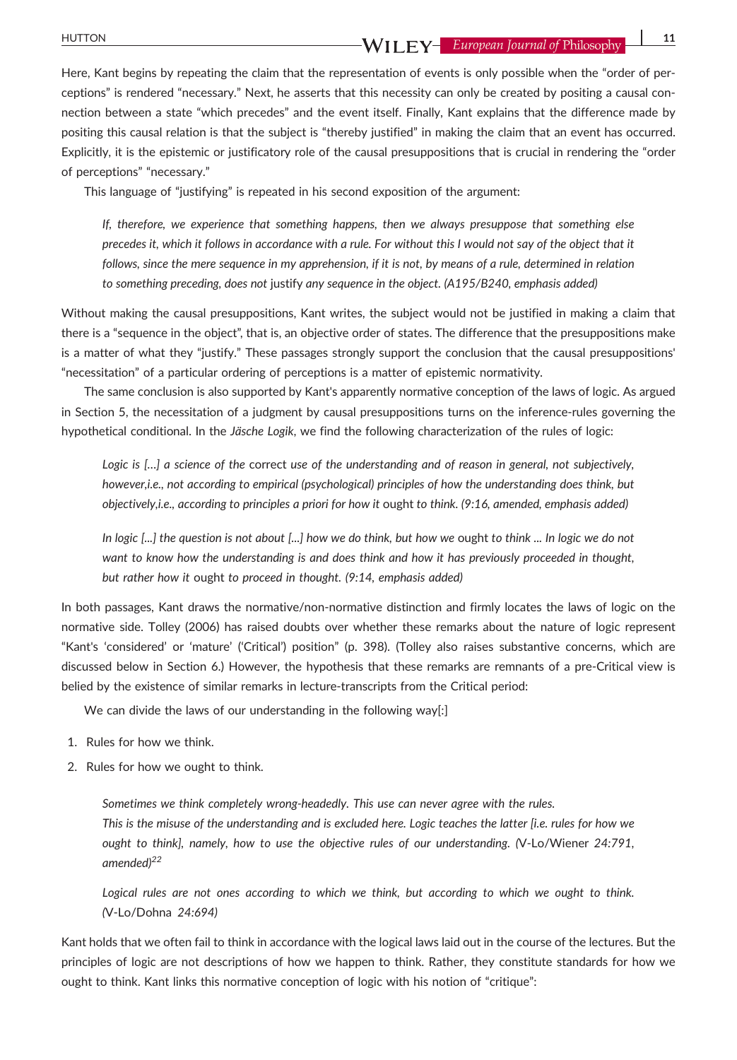Here, Kant begins by repeating the claim that the representation of events is only possible when the "order of perceptions" is rendered "necessary." Next, he asserts that this necessity can only be created by positing a causal connection between a state "which precedes" and the event itself. Finally, Kant explains that the difference made by positing this causal relation is that the subject is "thereby justified" in making the claim that an event has occurred. Explicitly, it is the epistemic or justificatory role of the causal presuppositions that is crucial in rendering the "order of perceptions" "necessary."

This language of "justifying" is repeated in his second exposition of the argument:

*If, therefore, we experience that something happens, then we always presuppose that something else precedes it, which it follows in accordance with a rule. For without this I would not say of the object that it follows, since the mere sequence in my apprehension, if it is not, by means of a rule, determined in relation to something preceding, does not* justify *any sequence in the object. (A195/B240, emphasis added)*

Without making the causal presuppositions, Kant writes, the subject would not be justified in making a claim that there is a "sequence in the object", that is, an objective order of states. The difference that the presuppositions make is a matter of what they "justify." These passages strongly support the conclusion that the causal presuppositions' "necessitation" of a particular ordering of perceptions is a matter of epistemic normativity.

The same conclusion is also supported by Kant's apparently normative conception of the laws of logic. As argued in Section 5, the necessitation of a judgment by causal presuppositions turns on the inference-rules governing the hypothetical conditional. In the *Jäsche Logik*, we find the following characterization of the rules of logic:

*Logic is […] a science of the* correct *use of the understanding and of reason in general, not subjectively, however,i.e., not according to empirical (psychological) principles of how the understanding does think, but objectively,i.e., according to principles a priori for how it ought to think. (9:16, amended, emphasis added)* 

*In logic [...] the question is not about [...] how we do think, but how we* ought *to think ... In logic we do not want to know how the understanding is and does think and how it has previously proceeded in thought, but rather how it* ought *to proceed in thought. (9:14, emphasis added)*

In both passages, Kant draws the normative/non‐normative distinction and firmly locates the laws of logic on the normative side. Tolley (2006) has raised doubts over whether these remarks about the nature of logic represent "Kant's 'considered' or 'mature' ('Critical') position" (p. 398). (Tolley also raises substantive concerns, which are discussed below in Section 6.) However, the hypothesis that these remarks are remnants of a pre‐Critical view is belied by the existence of similar remarks in lecture-transcripts from the Critical period:

We can divide the laws of our understanding in the following way[:]

- 1. Rules for how we think.
- 2. Rules for how we ought to think.

*Sometimes we think completely wrong‐headedly. This use can never agree with the rules. This is the misuse of the understanding and is excluded here. Logic teaches the latter [i.e. rules for how we ought to think], namely, how to use the objective rules of our understanding. (*V‐Lo/Wiener *24:791, amended)22*

*Logical rules are not ones according to which we think, but according to which we ought to think. (*V‐Lo/Dohna *24:694)*

Kant holds that we often fail to think in accordance with the logical laws laid out in the course of the lectures. But the principles of logic are not descriptions of how we happen to think. Rather, they constitute standards for how we ought to think. Kant links this normative conception of logic with his notion of "critique":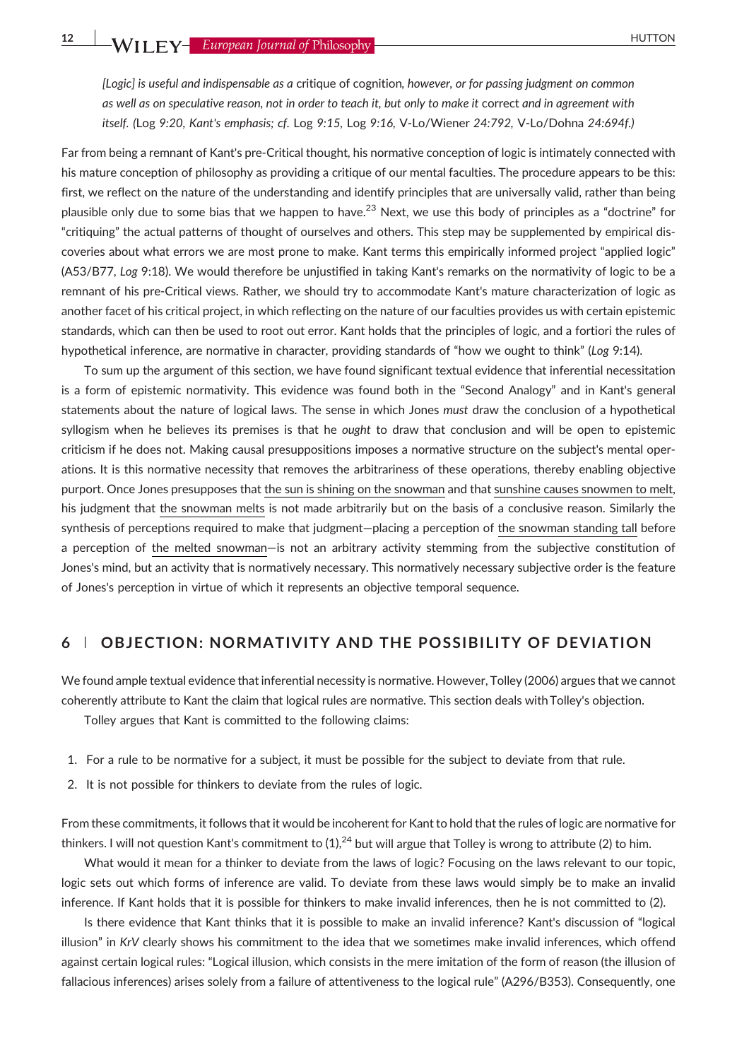*[Logic] is useful and indispensable as a* critique of cognition*, however, or for passing judgment on common as well as on speculative reason, not in order to teach it, but only to make it* correct *and in agreement with itself. (*Log *9:20, Kant's emphasis; cf.* Log *9:15,* Log *9:16,* V‐Lo/Wiener *24:792,* V‐Lo/Dohna *24:694f.)*

Far from being a remnant of Kant's pre‐Critical thought, his normative conception of logic is intimately connected with his mature conception of philosophy as providing a critique of our mental faculties. The procedure appears to be this: first, we reflect on the nature of the understanding and identify principles that are universally valid, rather than being plausible only due to some bias that we happen to have.<sup>23</sup> Next, we use this body of principles as a "doctrine" for "critiquing" the actual patterns of thought of ourselves and others. This step may be supplemented by empirical discoveries about what errors we are most prone to make. Kant terms this empirically informed project "applied logic" (A53/B77, *Log* 9:18). We would therefore be unjustified in taking Kant's remarks on the normativity of logic to be a remnant of his pre‐Critical views. Rather, we should try to accommodate Kant's mature characterization of logic as another facet of his critical project, in which reflecting on the nature of our faculties provides us with certain epistemic standards, which can then be used to root out error. Kant holds that the principles of logic, and a fortiori the rules of hypothetical inference, are normative in character, providing standards of "how we ought to think" (*Log* 9:14).

To sum up the argument of this section, we have found significant textual evidence that inferential necessitation is a form of epistemic normativity. This evidence was found both in the "Second Analogy" and in Kant's general statements about the nature of logical laws. The sense in which Jones *must* draw the conclusion of a hypothetical syllogism when he believes its premises is that he *ought* to draw that conclusion and will be open to epistemic criticism if he does not. Making causal presuppositions imposes a normative structure on the subject's mental operations. It is this normative necessity that removes the arbitrariness of these operations, thereby enabling objective purport. Once Jones presupposes that the sun is shining on the snowman and that sunshine causes snowmen to melt, his judgment that the snowman melts is not made arbitrarily but on the basis of a conclusive reason. Similarly the synthesis of perceptions required to make that judgment—placing a perception of the snowman standing tall before a perception of the melted snowman—is not an arbitrary activity stemming from the subjective constitution of Jones's mind, but an activity that is normatively necessary. This normatively necessary subjective order is the feature of Jones's perception in virtue of which it represents an objective temporal sequence.

# **6** | **OBJECTION: NORMATIVITY AND THE POSSIBILITY OF DEVIATION**

We found ample textual evidence that inferential necessity is normative. However, Tolley (2006) argues that we cannot coherently attribute to Kant the claim that logical rules are normative. This section deals with Tolley's objection.

Tolley argues that Kant is committed to the following claims:

- 1. For a rule to be normative for a subject, it must be possible for the subject to deviate from that rule.
- 2. It is not possible for thinkers to deviate from the rules of logic.

From these commitments, it follows that it would be incoherent for Kant to hold that the rules of logic are normative for thinkers. I will not question Kant's commitment to  $(1)$ ,<sup>24</sup> but will argue that Tolley is wrong to attribute (2) to him.

What would it mean for a thinker to deviate from the laws of logic? Focusing on the laws relevant to our topic, logic sets out which forms of inference are valid. To deviate from these laws would simply be to make an invalid inference. If Kant holds that it is possible for thinkers to make invalid inferences, then he is not committed to (2).

Is there evidence that Kant thinks that it is possible to make an invalid inference? Kant's discussion of "logical illusion" in *KrV* clearly shows his commitment to the idea that we sometimes make invalid inferences, which offend against certain logical rules: "Logical illusion, which consists in the mere imitation of the form of reason (the illusion of fallacious inferences) arises solely from a failure of attentiveness to the logical rule" (A296/B353). Consequently, one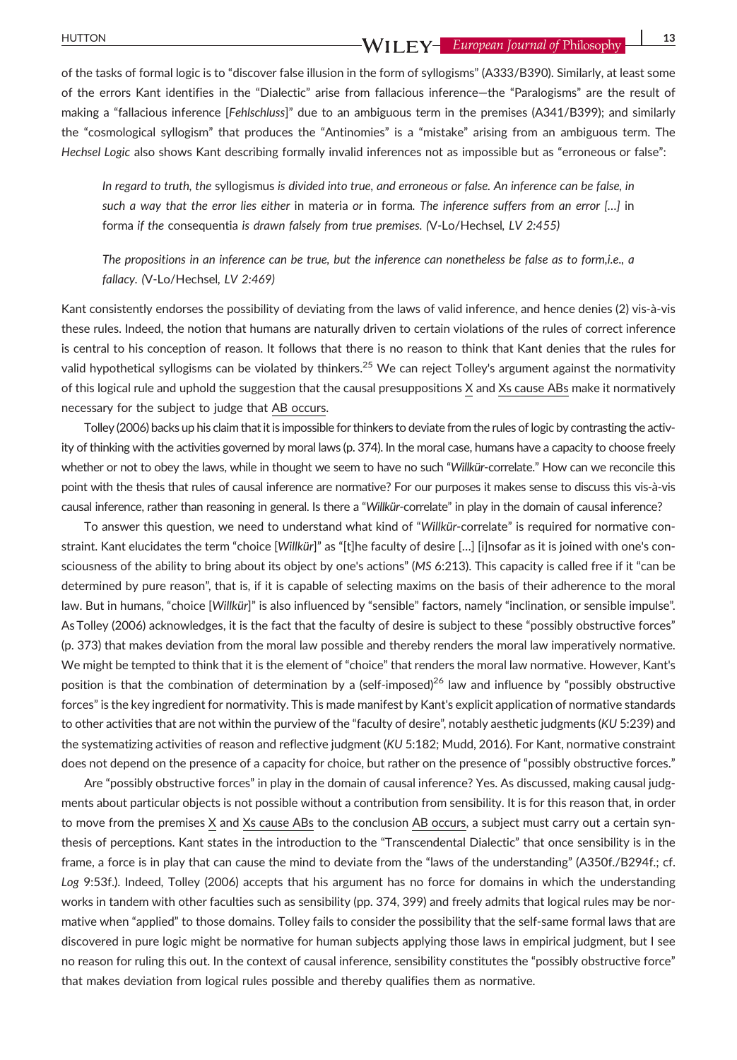of the tasks of formal logic is to "discover false illusion in the form of syllogisms" (A333/B390). Similarly, at least some of the errors Kant identifies in the "Dialectic" arise from fallacious inference—the "Paralogisms" are the result of making a "fallacious inference [*Fehlschluss*]" due to an ambiguous term in the premises (A341/B399); and similarly the "cosmological syllogism" that produces the "Antinomies" is a "mistake" arising from an ambiguous term. The *Hechsel Logic* also shows Kant describing formally invalid inferences not as impossible but as "erroneous or false":

*In regard to truth, the* syllogismus *is divided into true, and erroneous or false. An inference can be false, in such a way that the error lies either* in materia *or* in forma*. The inference suffers from an error […]* in forma *if the* consequentia *is drawn falsely from true premises. (*V‐Lo/Hechsel*, LV 2:455)*

*The propositions in an inference can be true, but the inference can nonetheless be false as to form,i.e., a fallacy. (*V‐Lo/Hechsel*, LV 2:469)*

Kant consistently endorses the possibility of deviating from the laws of valid inference, and hence denies (2) vis‐à‐vis these rules. Indeed, the notion that humans are naturally driven to certain violations of the rules of correct inference is central to his conception of reason. It follows that there is no reason to think that Kant denies that the rules for valid hypothetical syllogisms can be violated by thinkers.<sup>25</sup> We can reject Tolley's argument against the normativity of this logical rule and uphold the suggestion that the causal presuppositions X and Xs cause ABs make it normatively necessary for the subject to judge that AB occurs.

Tolley (2006) backs up his claim that it is impossible for thinkers to deviate from the rules of logic by contrasting the activity of thinking with the activities governed by moral laws (p. 374). In the moral case, humans have a capacity to choose freely whether or not to obey the laws, while in thought we seem to have no such "*Willkür*‐correlate." How can we reconcile this point with the thesis that rules of causal inference are normative? For our purposes it makes sense to discuss this vis‐à‐vis causal inference, rather than reasoning in general. Is there a "Willkür-correlate" in play in the domain of causal inference?

To answer this question, we need to understand what kind of "*Willkür*‐correlate" is required for normative constraint. Kant elucidates the term "choice [*Willkür*]" as "[t]he faculty of desire […] [i]nsofar as it is joined with one's consciousness of the ability to bring about its object by one's actions" (*MS 6:213*). This capacity is called free if it "can be determined by pure reason", that is, if it is capable of selecting maxims on the basis of their adherence to the moral law. But in humans, "choice [*Willkür*]" is also influenced by "sensible" factors, namely "inclination, or sensible impulse". As Tolley (2006) acknowledges, it is the fact that the faculty of desire is subject to these "possibly obstructive forces" (p. 373) that makes deviation from the moral law possible and thereby renders the moral law imperatively normative. We might be tempted to think that it is the element of "choice" that renders the moral law normative. However, Kant's position is that the combination of determination by a (self-imposed)<sup>26</sup> law and influence by "possibly obstructive forces" is the key ingredient for normativity. This is made manifest by Kant's explicit application of normative standards to other activities that are not within the purview of the "faculty of desire", notably aesthetic judgments (*KU* 5:239) and the systematizing activities of reason and reflective judgment (*KU* 5:182; Mudd, 2016). For Kant, normative constraint does not depend on the presence of a capacity for choice, but rather on the presence of "possibly obstructive forces."

Are "possibly obstructive forces" in play in the domain of causal inference? Yes. As discussed, making causal judgments about particular objects is not possible without a contribution from sensibility. It is for this reason that, in order to move from the premises X and Xs cause ABs to the conclusion AB occurs, a subject must carry out a certain synthesis of perceptions. Kant states in the introduction to the "Transcendental Dialectic" that once sensibility is in the frame, a force is in play that can cause the mind to deviate from the "laws of the understanding" (A350f./B294f.; cf. *Log* 9:53f.). Indeed, Tolley (2006) accepts that his argument has no force for domains in which the understanding works in tandem with other faculties such as sensibility (pp. 374, 399) and freely admits that logical rules may be normative when "applied" to those domains. Tolley fails to consider the possibility that the self-same formal laws that are discovered in pure logic might be normative for human subjects applying those laws in empirical judgment, but I see no reason for ruling this out. In the context of causal inference, sensibility constitutes the "possibly obstructive force" that makes deviation from logical rules possible and thereby qualifies them as normative.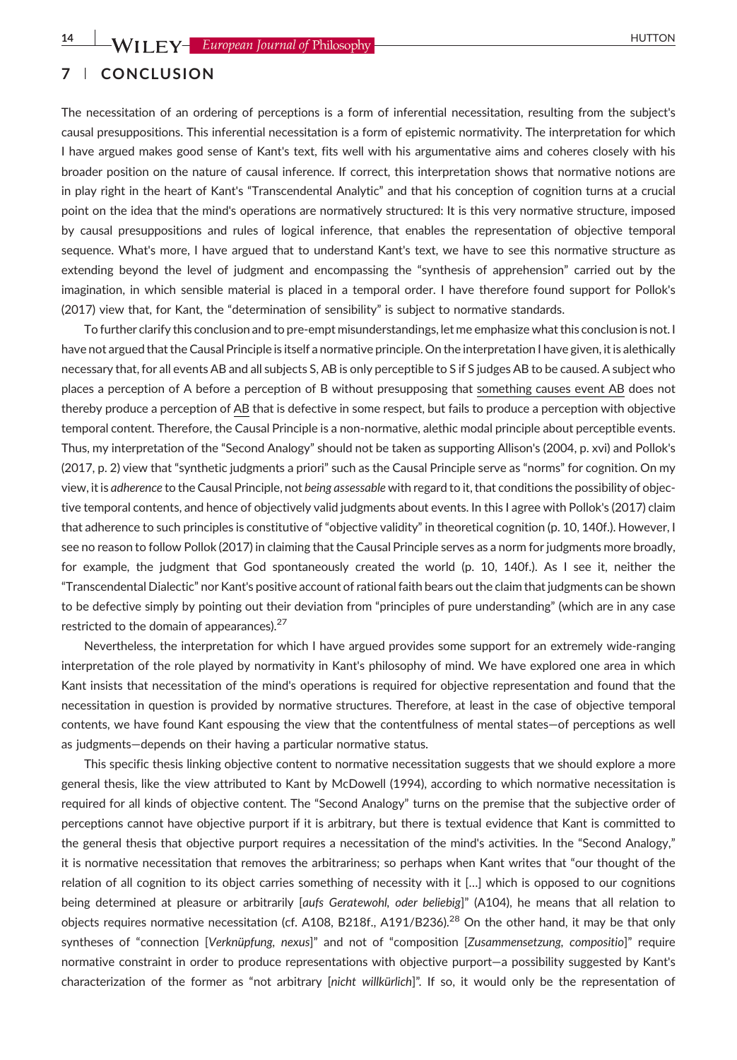# **7** | **CONCLUSION**

The necessitation of an ordering of perceptions is a form of inferential necessitation, resulting from the subject's causal presuppositions. This inferential necessitation is a form of epistemic normativity. The interpretation for which I have argued makes good sense of Kant's text, fits well with his argumentative aims and coheres closely with his broader position on the nature of causal inference. If correct, this interpretation shows that normative notions are in play right in the heart of Kant's "Transcendental Analytic" and that his conception of cognition turns at a crucial point on the idea that the mind's operations are normatively structured: It is this very normative structure, imposed by causal presuppositions and rules of logical inference, that enables the representation of objective temporal sequence. What's more, I have argued that to understand Kant's text, we have to see this normative structure as extending beyond the level of judgment and encompassing the "synthesis of apprehension" carried out by the imagination, in which sensible material is placed in a temporal order. I have therefore found support for Pollok's (2017) view that, for Kant, the "determination of sensibility" is subject to normative standards.

To further clarify this conclusion and to pre‐empt misunderstandings, let me emphasize what this conclusion is not. I have not argued that the Causal Principle is itself a normative principle. On the interpretation I have given, it is alethically necessary that, for all events AB and all subjects S, AB is only perceptible to S if S judges AB to be caused. A subject who places a perception of A before a perception of B without presupposing that something causes event AB does not thereby produce a perception of AB that is defective in some respect, but fails to produce a perception with objective temporal content. Therefore, the Causal Principle is a non-normative, alethic modal principle about perceptible events. Thus, my interpretation of the "Second Analogy" should not be taken as supporting Allison's (2004, p. xvi) and Pollok's (2017, p. 2) view that "synthetic judgments a priori" such as the Causal Principle serve as "norms" for cognition. On my view, it is *adherence* to the Causal Principle, not *being assessable* with regard to it, that conditions the possibility of objective temporal contents, and hence of objectively valid judgments about events. In this I agree with Pollok's (2017) claim that adherence to such principles is constitutive of "objective validity" in theoretical cognition (p. 10, 140f.). However, I see no reason to follow Pollok (2017) in claiming that the Causal Principle serves as a norm for judgments more broadly, for example, the judgment that God spontaneously created the world (p. 10, 140f.). As I see it, neither the "Transcendental Dialectic" nor Kant's positive account of rational faith bears out the claim that judgments can be shown to be defective simply by pointing out their deviation from "principles of pure understanding" (which are in any case restricted to the domain of appearances).<sup>27</sup>

Nevertheless, the interpretation for which I have argued provides some support for an extremely wide‐ranging interpretation of the role played by normativity in Kant's philosophy of mind. We have explored one area in which Kant insists that necessitation of the mind's operations is required for objective representation and found that the necessitation in question is provided by normative structures. Therefore, at least in the case of objective temporal contents, we have found Kant espousing the view that the contentfulness of mental states—of perceptions as well as judgments—depends on their having a particular normative status.

This specific thesis linking objective content to normative necessitation suggests that we should explore a more general thesis, like the view attributed to Kant by McDowell (1994), according to which normative necessitation is required for all kinds of objective content. The "Second Analogy" turns on the premise that the subjective order of perceptions cannot have objective purport if it is arbitrary, but there is textual evidence that Kant is committed to the general thesis that objective purport requires a necessitation of the mind's activities. In the "Second Analogy," it is normative necessitation that removes the arbitrariness; so perhaps when Kant writes that "our thought of the relation of all cognition to its object carries something of necessity with it […] which is opposed to our cognitions being determined at pleasure or arbitrarily [*aufs Geratewohl, oder beliebig*]" (A104), he means that all relation to objects requires normative necessitation (cf. A108, B218f., A191/B236).<sup>28</sup> On the other hand, it may be that only syntheses of "connection [*Verknüpfung, nexus*]" and not of "composition [*Zusammensetzung, compositio*]" require normative constraint in order to produce representations with objective purport—a possibility suggested by Kant's characterization of the former as "not arbitrary [*nicht willkürlich*]". If so, it would only be the representation of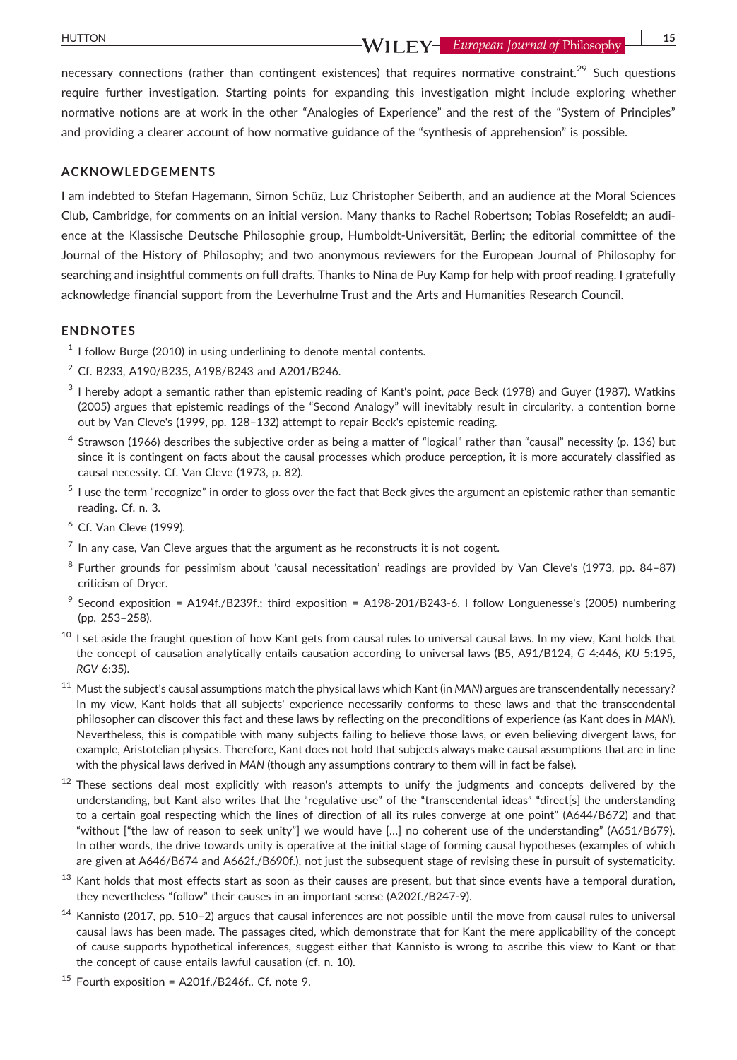necessary connections (rather than contingent existences) that requires normative constraint.<sup>29</sup> Such questions require further investigation. Starting points for expanding this investigation might include exploring whether normative notions are at work in the other "Analogies of Experience" and the rest of the "System of Principles" and providing a clearer account of how normative guidance of the "synthesis of apprehension" is possible.

### **ACKNOWLEDGEMENTS**

I am indebted to Stefan Hagemann, Simon Schüz, Luz Christopher Seiberth, and an audience at the Moral Sciences Club, Cambridge, for comments on an initial version. Many thanks to Rachel Robertson; Tobias Rosefeldt; an audience at the Klassische Deutsche Philosophie group, Humboldt‐Universität, Berlin; the editorial committee of the Journal of the History of Philosophy; and two anonymous reviewers for the European Journal of Philosophy for searching and insightful comments on full drafts. Thanks to Nina de Puy Kamp for help with proof reading. I gratefully acknowledge financial support from the Leverhulme Trust and the Arts and Humanities Research Council.

### **ENDNOTES**

- $1$  I follow Burge (2010) in using underlining to denote mental contents.
- <sup>2</sup> Cf. B233, A190/B235, A198/B243 and A201/B246.
- <sup>3</sup> I hereby adopt a semantic rather than epistemic reading of Kant's point, *pace* Beck (1978) and Guyer (1987). Watkins (2005) argues that epistemic readings of the "Second Analogy" will inevitably result in circularity, a contention borne out by Van Cleve's (1999, pp. 128–132) attempt to repair Beck's epistemic reading.
- <sup>4</sup> Strawson (1966) describes the subjective order as being a matter of "logical" rather than "causal" necessity (p. 136) but since it is contingent on facts about the causal processes which produce perception, it is more accurately classified as causal necessity. Cf. Van Cleve (1973, p. 82).
- <sup>5</sup> I use the term "recognize" in order to gloss over the fact that Beck gives the argument an epistemic rather than semantic reading. Cf. n. 3.
- <sup>6</sup> Cf. Van Cleve (1999).
- $<sup>7</sup>$  In anv case, Van Cleve argues that the argument as he reconstructs it is not cogent.</sup>
- <sup>8</sup> Further grounds for pessimism about 'causal necessitation' readings are provided by Van Cleve's (1973, pp. 84–87) criticism of Dryer.
- <sup>9</sup> Second exposition = A194f./B239f.; third exposition = A198‐201/B243‐6. I follow Longuenesse's (2005) numbering (pp. 253–258).
- $10$  I set aside the fraught question of how Kant gets from causal rules to universal causal laws. In my view, Kant holds that the concept of causation analytically entails causation according to universal laws (B5, A91/B124, *G* 4:446, *KU* 5:195, *RGV* 6:35).
- <sup>11</sup> Must the subject's causal assumptions match the physical laws which Kant (in *MAN*) argues are transcendentally necessary? In my view, Kant holds that all subjects' experience necessarily conforms to these laws and that the transcendental philosopher can discover this fact and these laws by reflecting on the preconditions of experience (as Kant does in *MAN*). Nevertheless, this is compatible with many subjects failing to believe those laws, or even believing divergent laws, for example, Aristotelian physics. Therefore, Kant does not hold that subjects always make causal assumptions that are in line with the physical laws derived in *MAN* (though any assumptions contrary to them will in fact be false).
- $12$  These sections deal most explicitly with reason's attempts to unify the judgments and concepts delivered by the understanding, but Kant also writes that the "regulative use" of the "transcendental ideas" "direct[s] the understanding to a certain goal respecting which the lines of direction of all its rules converge at one point" (A644/B672) and that "without ["the law of reason to seek unity"] we would have […] no coherent use of the understanding" (A651/B679). In other words, the drive towards unity is operative at the initial stage of forming causal hypotheses (examples of which are given at A646/B674 and A662f./B690f.), not just the subsequent stage of revising these in pursuit of systematicity.
- $13$  Kant holds that most effects start as soon as their causes are present, but that since events have a temporal duration, they nevertheless "follow" their causes in an important sense (A202f./B247‐9).
- $14$  Kannisto (2017, pp. 510-2) argues that causal inferences are not possible until the move from causal rules to universal causal laws has been made. The passages cited, which demonstrate that for Kant the mere applicability of the concept of cause supports hypothetical inferences, suggest either that Kannisto is wrong to ascribe this view to Kant or that the concept of cause entails lawful causation (cf. n. 10).
- <sup>15</sup> Fourth exposition = A201f./B246f.. Cf. note 9.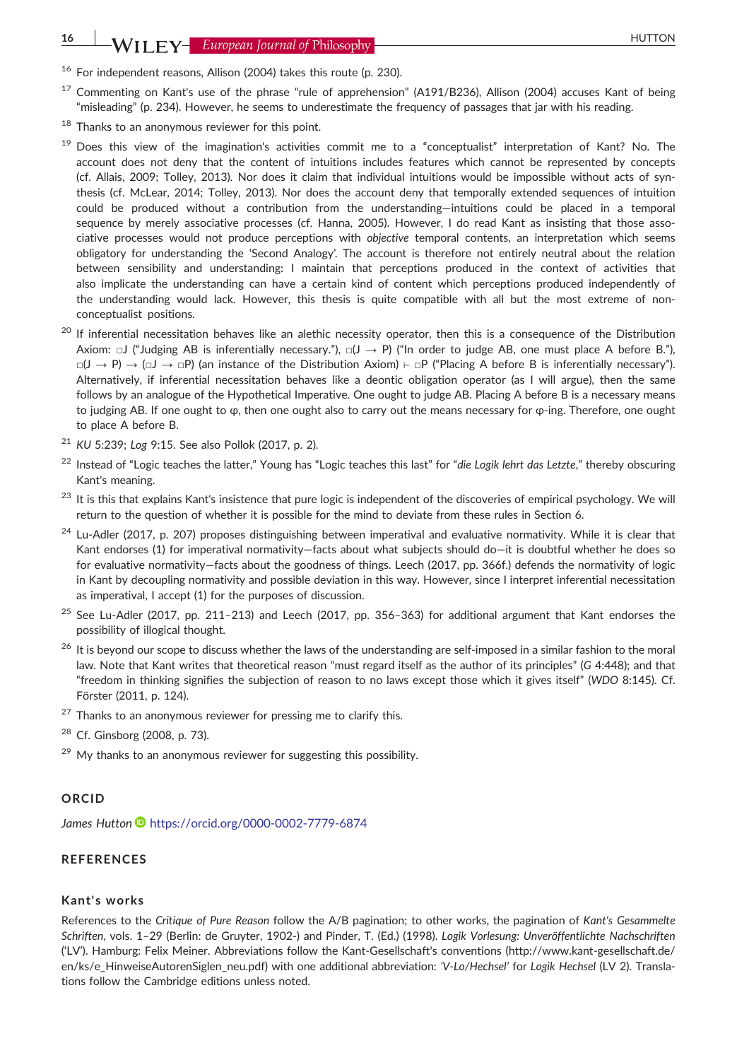- <sup>16</sup> For independent reasons, Allison (2004) takes this route (p. 230).
- <sup>17</sup> Commenting on Kant's use of the phrase "rule of apprehension" (A191/B236), Allison (2004) accuses Kant of being "misleading" (p. 234). However, he seems to underestimate the frequency of passages that jar with his reading.
- <sup>18</sup> Thanks to an anonymous reviewer for this point.
- $19$  Does this view of the imagination's activities commit me to a "conceptualist" interpretation of Kant? No. The account does not deny that the content of intuitions includes features which cannot be represented by concepts (cf. Allais, 2009; Tolley, 2013). Nor does it claim that individual intuitions would be impossible without acts of synthesis (cf. McLear, 2014; Tolley, 2013). Nor does the account deny that temporally extended sequences of intuition could be produced without a contribution from the understanding—intuitions could be placed in a temporal sequence by merely associative processes (cf. Hanna, 2005). However, I do read Kant as insisting that those associative processes would not produce perceptions with *objective* temporal contents, an interpretation which seems obligatory for understanding the 'Second Analogy'. The account is therefore not entirely neutral about the relation between sensibility and understanding: I maintain that perceptions produced in the context of activities that also implicate the understanding can have a certain kind of content which perceptions produced independently of the understanding would lack. However, this thesis is quite compatible with all but the most extreme of nonconceptualist positions.
- <sup>20</sup> If inferential necessitation behaves like an alethic necessity operator, then this is a consequence of the Distribution Axiom:  $\Box$  ("Judging AB is inferentially necessary."),  $\Box$ ( $\Box \rightarrow$  P) ("In order to judge AB, one must place A before B."),  $\Box$ (J  $\rightarrow$  P)  $\rightarrow$   $(\Box J \rightarrow \Box P)$  (an instance of the Distribution Axiom)  $\vdash \Box P$  ("Placing A before B is inferentially necessary"). Alternatively, if inferential necessitation behaves like a deontic obligation operator (as I will argue), then the same follows by an analogue of the Hypothetical Imperative. One ought to judge AB. Placing A before B is a necessary means to judging AB. If one ought to φ, then one ought also to carry out the means necessary for φ‐ing. Therefore, one ought to place A before B.
- <sup>21</sup> *KU* 5:239; *Log* 9:15. See also Pollok (2017, p. 2).
- <sup>22</sup> Instead of "Logic teaches the latter," Young has "Logic teaches this last" for "*die Logik lehrt das Letzte*," thereby obscuring Kant's meaning.
- <sup>23</sup> It is this that explains Kant's insistence that pure logic is independent of the discoveries of empirical psychology. We will return to the question of whether it is possible for the mind to deviate from these rules in Section 6.
- $24$  Lu-Adler (2017, p. 207) proposes distinguishing between imperatival and evaluative normativity. While it is clear that Kant endorses (1) for imperatival normativity—facts about what subjects should do—it is doubtful whether he does so for evaluative normativity—facts about the goodness of things. Leech (2017, pp. 366f.) defends the normativity of logic in Kant by decoupling normativity and possible deviation in this way. However, since I interpret inferential necessitation as imperatival, I accept (1) for the purposes of discussion.
- <sup>25</sup> See Lu-Adler (2017, pp. 211-213) and Leech (2017, pp. 356-363) for additional argument that Kant endorses the possibility of illogical thought.
- $^{26}$  It is bevond our scope to discuss whether the laws of the understanding are self-imposed in a similar fashion to the moral law. Note that Kant writes that theoretical reason "must regard itself as the author of its principles" (*G* 4:448); and that "freedom in thinking signifies the subjection of reason to no laws except those which it gives itself" (*WDO* 8:145). Cf. Förster (2011, p. 124).
- $27$  Thanks to an anonymous reviewer for pressing me to clarify this.
- <sup>28</sup> Cf. Ginsborg (2008, p. 73).
- <sup>29</sup> My thanks to an anonymous reviewer for suggesting this possibility.

### **ORCID**

*James Hutton* <https://orcid.org/0000-0002-7779-6874>

## **REFERENCES**

### **Kant's works**

References to the *Critique of Pure Reason* follow the A/B pagination; to other works, the pagination of *Kant's Gesammelte Schriften*, vols. 1–29 (Berlin: de Gruyter, 1902‐) and Pinder, T. (Ed.) (1998). *Logik Vorlesung: Unveröffentlichte Nachschriften* ('LV'). Hamburg: Felix Meiner. Abbreviations follow the Kant‐Gesellschaft's conventions ([http://www.kant](http://www.kant-gesellschaft.de/en/ks/e_HinweiseAutorenSiglen_neu.pdf)‐gesellschaft.de/ [en/ks/e\\_HinweiseAutorenSiglen\\_neu.pdf](http://www.kant-gesellschaft.de/en/ks/e_HinweiseAutorenSiglen_neu.pdf)) with one additional abbreviation: *'V‐Lo/Hechsel'* for *Logik Hechsel* (LV 2). Translations follow the Cambridge editions unless noted.